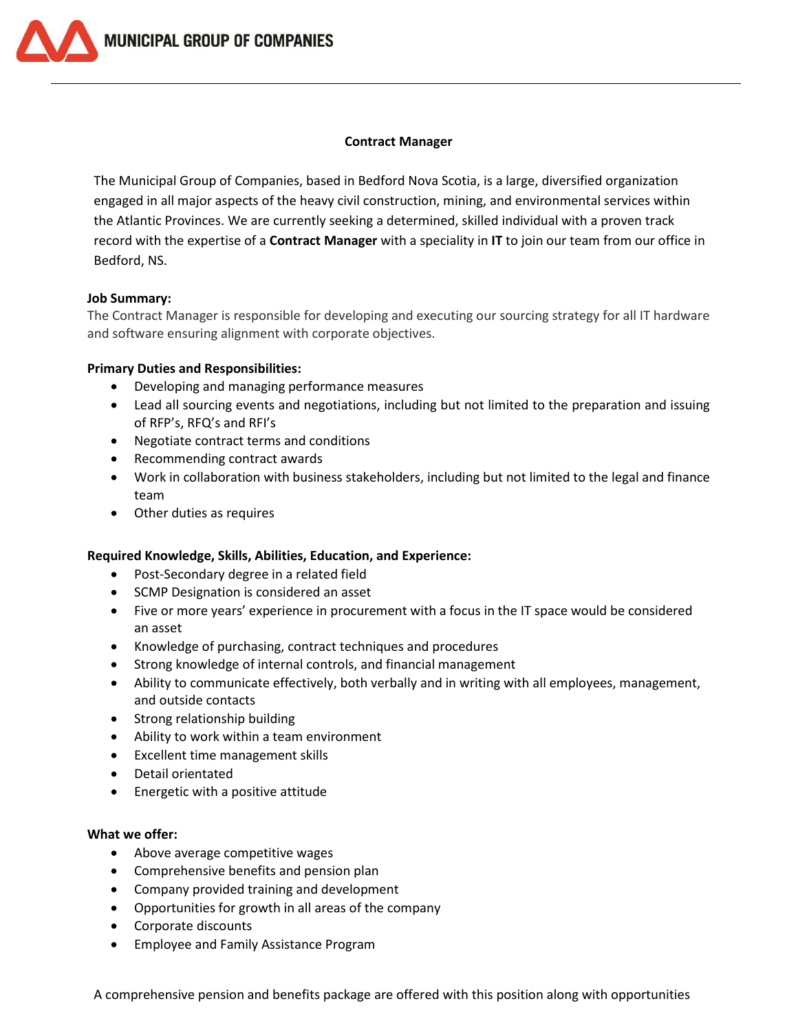**MUNICIPAL GROUP OF COMPANIES** 

#### **Contract Manager**

The Municipal Group of Companies, based in Bedford Nova Scotia, is a large, diversified organization engaged in all major aspects of the heavy civil construction, mining, and environmental services within the Atlantic Provinces. We are currently seeking a determined, skilled individual with a proven track record with the expertise of a **Contract Manager** with a speciality in **IT** to join our team from our office in Bedford, NS.

### **Job Summary:**

The Contract Manager is responsible for developing and executing our sourcing strategy for all IT hardware and software ensuring alignment with corporate objectives.

### **Primary Duties and Responsibilities:**

- Developing and managing performance measures
- Lead all sourcing events and negotiations, including but not limited to the preparation and issuing of RFP's, RFQ's and RFI's
- Negotiate contract terms and conditions
- Recommending contract awards
- Work in collaboration with business stakeholders, including but not limited to the legal and finance team
- Other duties as requires

## **Required Knowledge, Skills, Abilities, Education, and Experience:**

- Post-Secondary degree in a related field
- SCMP Designation is considered an asset
- Five or more years' experience in procurement with a focus in the IT space would be considered an asset
- Knowledge of purchasing, contract techniques and procedures
- Strong knowledge of internal controls, and financial management
- Ability to communicate effectively, both verbally and in writing with all employees, management, and outside contacts
- Strong relationship building
- Ability to work within a team environment
- Excellent time management skills
- Detail orientated
- Energetic with a positive attitude

# **What we offer:**

- Above average competitive wages
- Comprehensive benefits and pension plan
- Company provided training and development
- Opportunities for growth in all areas of the company
- Corporate discounts
- Employee and Family Assistance Program

A comprehensive pension and benefits package are offered with this position along with opportunities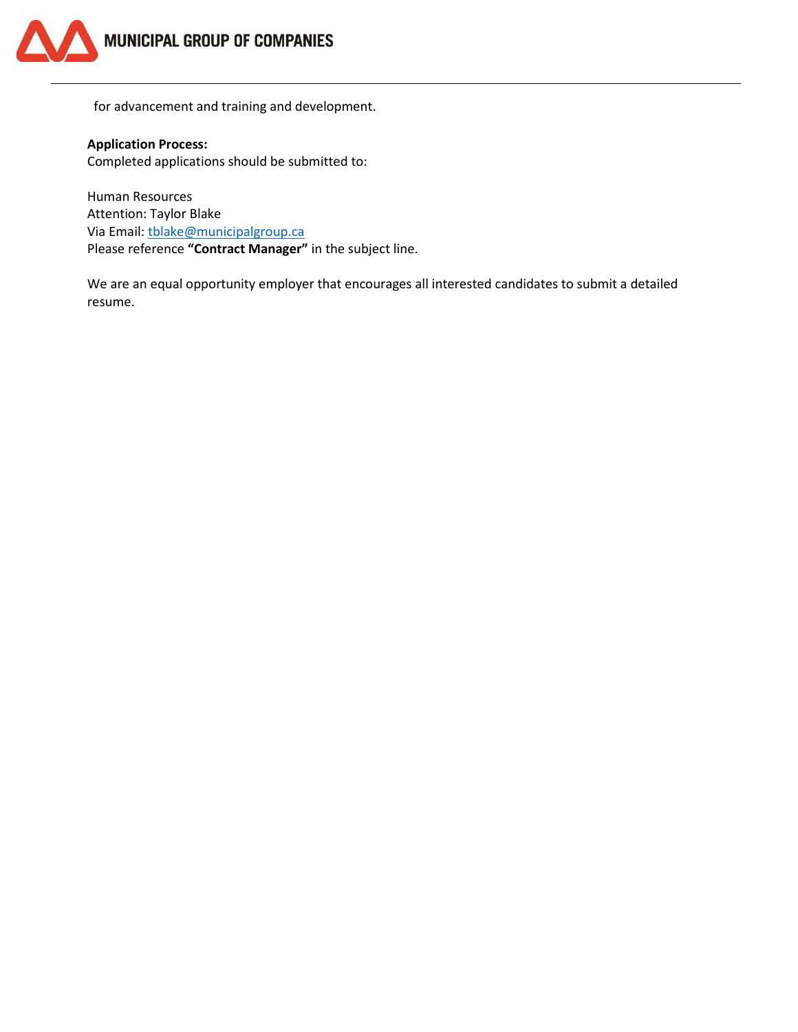

for advancement and training and development.

**Application Process:** Completed applications should be submitted to:

Human Resources Attention: Taylor Blake Via Email: [tblake@municipalgroup.ca](mailto:tblake@municipalgroup.ca) Please reference **"Contract Manager"** in the subject line.

We are an equal opportunity employer that encourages all interested candidates to submit a detailed resume.